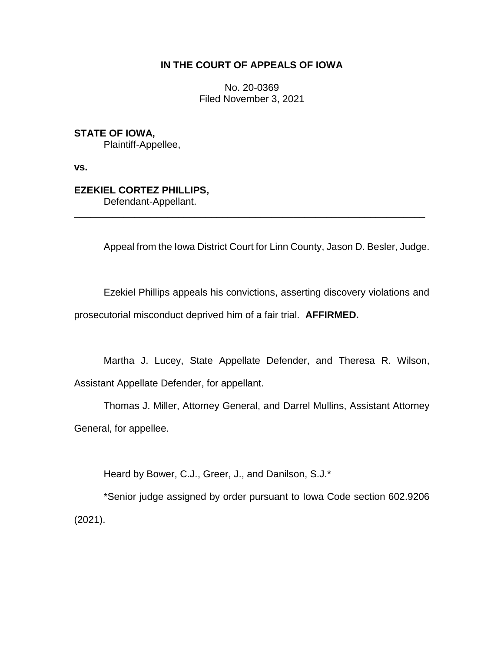## **IN THE COURT OF APPEALS OF IOWA**

No. 20-0369 Filed November 3, 2021

**STATE OF IOWA,**

Plaintiff-Appellee,

**vs.**

# **EZEKIEL CORTEZ PHILLIPS,**

Defendant-Appellant.

Appeal from the Iowa District Court for Linn County, Jason D. Besler, Judge.

Ezekiel Phillips appeals his convictions, asserting discovery violations and prosecutorial misconduct deprived him of a fair trial. **AFFIRMED.**

\_\_\_\_\_\_\_\_\_\_\_\_\_\_\_\_\_\_\_\_\_\_\_\_\_\_\_\_\_\_\_\_\_\_\_\_\_\_\_\_\_\_\_\_\_\_\_\_\_\_\_\_\_\_\_\_\_\_\_\_\_\_\_\_

Martha J. Lucey, State Appellate Defender, and Theresa R. Wilson, Assistant Appellate Defender, for appellant.

Thomas J. Miller, Attorney General, and Darrel Mullins, Assistant Attorney General, for appellee.

Heard by Bower, C.J., Greer, J., and Danilson, S.J.\*

\*Senior judge assigned by order pursuant to Iowa Code section 602.9206 (2021).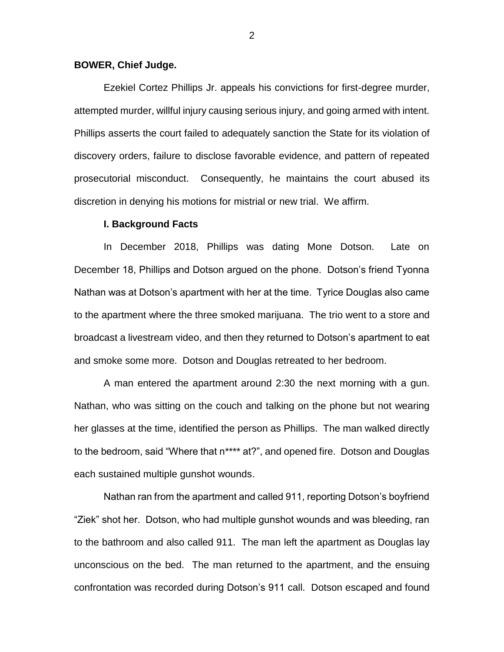## **BOWER, Chief Judge.**

Ezekiel Cortez Phillips Jr. appeals his convictions for first-degree murder, attempted murder, willful injury causing serious injury, and going armed with intent. Phillips asserts the court failed to adequately sanction the State for its violation of discovery orders, failure to disclose favorable evidence, and pattern of repeated prosecutorial misconduct. Consequently, he maintains the court abused its discretion in denying his motions for mistrial or new trial. We affirm.

## **I. Background Facts**

In December 2018, Phillips was dating Mone Dotson. Late on December 18, Phillips and Dotson argued on the phone. Dotson's friend Tyonna Nathan was at Dotson's apartment with her at the time. Tyrice Douglas also came to the apartment where the three smoked marijuana. The trio went to a store and broadcast a livestream video, and then they returned to Dotson's apartment to eat and smoke some more. Dotson and Douglas retreated to her bedroom.

A man entered the apartment around 2:30 the next morning with a gun. Nathan, who was sitting on the couch and talking on the phone but not wearing her glasses at the time, identified the person as Phillips. The man walked directly to the bedroom, said "Where that n\*\*\*\* at?", and opened fire. Dotson and Douglas each sustained multiple gunshot wounds.

Nathan ran from the apartment and called 911, reporting Dotson's boyfriend "Ziek" shot her. Dotson, who had multiple gunshot wounds and was bleeding, ran to the bathroom and also called 911. The man left the apartment as Douglas lay unconscious on the bed. The man returned to the apartment, and the ensuing confrontation was recorded during Dotson's 911 call. Dotson escaped and found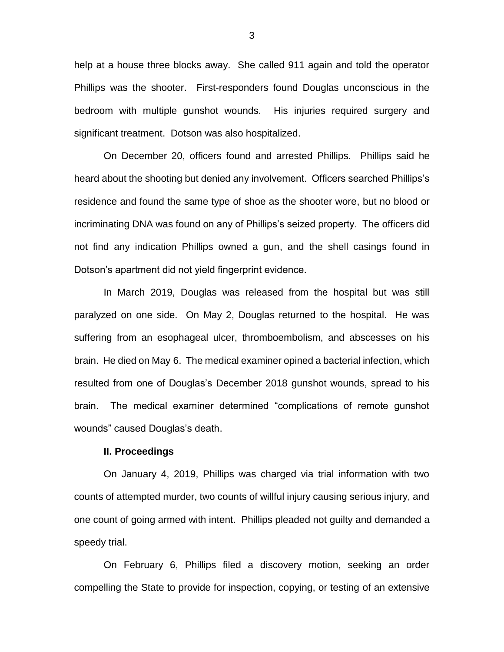help at a house three blocks away. She called 911 again and told the operator Phillips was the shooter. First-responders found Douglas unconscious in the bedroom with multiple gunshot wounds. His injuries required surgery and significant treatment. Dotson was also hospitalized.

On December 20, officers found and arrested Phillips. Phillips said he heard about the shooting but denied any involvement. Officers searched Phillips's residence and found the same type of shoe as the shooter wore, but no blood or incriminating DNA was found on any of Phillips's seized property. The officers did not find any indication Phillips owned a gun, and the shell casings found in Dotson's apartment did not yield fingerprint evidence.

In March 2019, Douglas was released from the hospital but was still paralyzed on one side. On May 2, Douglas returned to the hospital. He was suffering from an esophageal ulcer, thromboembolism, and abscesses on his brain. He died on May 6. The medical examiner opined a bacterial infection, which resulted from one of Douglas's December 2018 gunshot wounds, spread to his brain. The medical examiner determined "complications of remote gunshot wounds" caused Douglas's death.

#### **II. Proceedings**

On January 4, 2019, Phillips was charged via trial information with two counts of attempted murder, two counts of willful injury causing serious injury, and one count of going armed with intent. Phillips pleaded not guilty and demanded a speedy trial.

On February 6, Phillips filed a discovery motion, seeking an order compelling the State to provide for inspection, copying, or testing of an extensive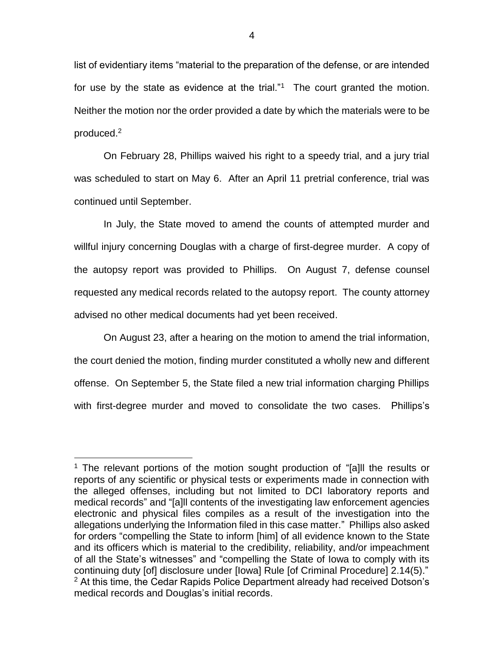list of evidentiary items "material to the preparation of the defense, or are intended for use by the state as evidence at the trial."<sup>1</sup> The court granted the motion. Neither the motion nor the order provided a date by which the materials were to be produced. 2

On February 28, Phillips waived his right to a speedy trial, and a jury trial was scheduled to start on May 6. After an April 11 pretrial conference, trial was continued until September.

In July, the State moved to amend the counts of attempted murder and willful injury concerning Douglas with a charge of first-degree murder. A copy of the autopsy report was provided to Phillips. On August 7, defense counsel requested any medical records related to the autopsy report. The county attorney advised no other medical documents had yet been received.

On August 23, after a hearing on the motion to amend the trial information, the court denied the motion, finding murder constituted a wholly new and different offense. On September 5, the State filed a new trial information charging Phillips with first-degree murder and moved to consolidate the two cases. Phillips's

 $\overline{a}$ 

<sup>&</sup>lt;sup>1</sup> The relevant portions of the motion sought production of "[a]ll the results or reports of any scientific or physical tests or experiments made in connection with the alleged offenses, including but not limited to DCI laboratory reports and medical records" and "[a]ll contents of the investigating law enforcement agencies electronic and physical files compiles as a result of the investigation into the allegations underlying the Information filed in this case matter." Phillips also asked for orders "compelling the State to inform [him] of all evidence known to the State and its officers which is material to the credibility, reliability, and/or impeachment of all the State's witnesses" and "compelling the State of Iowa to comply with its continuing duty [of] disclosure under [Iowa] Rule [of Criminal Procedure] 2.14(5)."  $2$  At this time, the Cedar Rapids Police Department already had received Dotson's medical records and Douglas's initial records.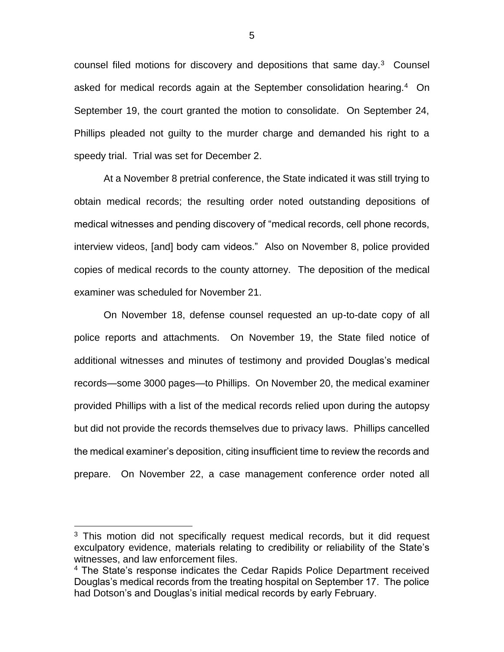counsel filed motions for discovery and depositions that same day. $3$  Counsel asked for medical records again at the September consolidation hearing.<sup>4</sup> On September 19, the court granted the motion to consolidate. On September 24, Phillips pleaded not guilty to the murder charge and demanded his right to a speedy trial. Trial was set for December 2.

At a November 8 pretrial conference, the State indicated it was still trying to obtain medical records; the resulting order noted outstanding depositions of medical witnesses and pending discovery of "medical records, cell phone records, interview videos, [and] body cam videos." Also on November 8, police provided copies of medical records to the county attorney. The deposition of the medical examiner was scheduled for November 21.

On November 18, defense counsel requested an up-to-date copy of all police reports and attachments. On November 19, the State filed notice of additional witnesses and minutes of testimony and provided Douglas's medical records—some 3000 pages—to Phillips. On November 20, the medical examiner provided Phillips with a list of the medical records relied upon during the autopsy but did not provide the records themselves due to privacy laws. Phillips cancelled the medical examiner's deposition, citing insufficient time to review the records and prepare. On November 22, a case management conference order noted all

 $\overline{a}$ 

<sup>&</sup>lt;sup>3</sup> This motion did not specifically request medical records, but it did request exculpatory evidence, materials relating to credibility or reliability of the State's witnesses, and law enforcement files.

<sup>&</sup>lt;sup>4</sup> The State's response indicates the Cedar Rapids Police Department received Douglas's medical records from the treating hospital on September 17. The police had Dotson's and Douglas's initial medical records by early February.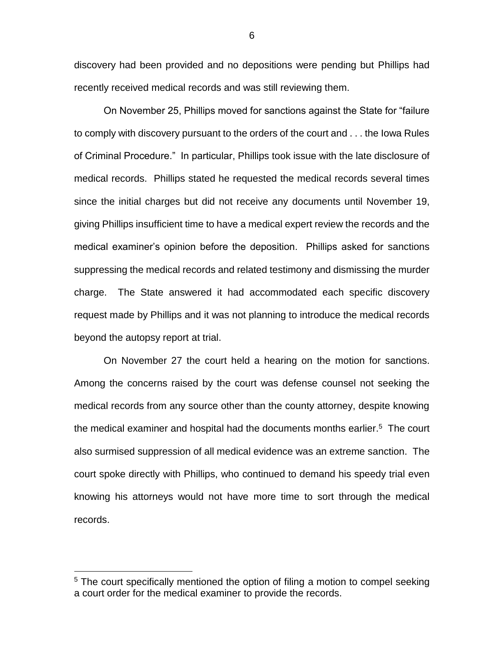discovery had been provided and no depositions were pending but Phillips had recently received medical records and was still reviewing them.

On November 25, Phillips moved for sanctions against the State for "failure to comply with discovery pursuant to the orders of the court and . . . the Iowa Rules of Criminal Procedure." In particular, Phillips took issue with the late disclosure of medical records. Phillips stated he requested the medical records several times since the initial charges but did not receive any documents until November 19, giving Phillips insufficient time to have a medical expert review the records and the medical examiner's opinion before the deposition. Phillips asked for sanctions suppressing the medical records and related testimony and dismissing the murder charge. The State answered it had accommodated each specific discovery request made by Phillips and it was not planning to introduce the medical records beyond the autopsy report at trial.

On November 27 the court held a hearing on the motion for sanctions. Among the concerns raised by the court was defense counsel not seeking the medical records from any source other than the county attorney, despite knowing the medical examiner and hospital had the documents months earlier. 5 The court also surmised suppression of all medical evidence was an extreme sanction. The court spoke directly with Phillips, who continued to demand his speedy trial even knowing his attorneys would not have more time to sort through the medical records.

 $\overline{a}$ 

6

<sup>&</sup>lt;sup>5</sup> The court specifically mentioned the option of filing a motion to compel seeking a court order for the medical examiner to provide the records.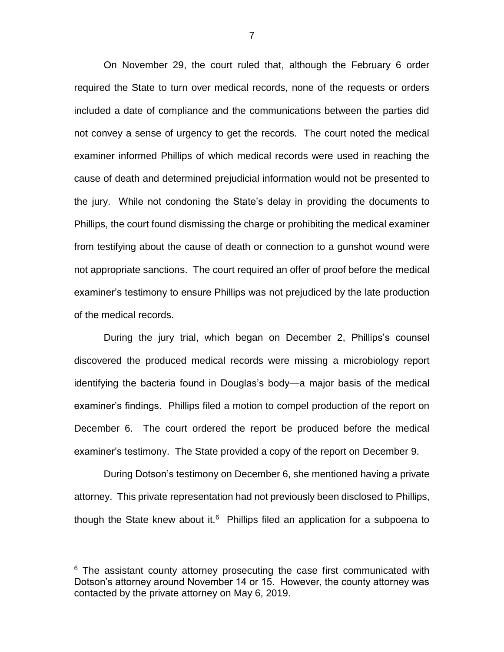On November 29, the court ruled that, although the February 6 order required the State to turn over medical records, none of the requests or orders included a date of compliance and the communications between the parties did not convey a sense of urgency to get the records. The court noted the medical examiner informed Phillips of which medical records were used in reaching the cause of death and determined prejudicial information would not be presented to the jury. While not condoning the State's delay in providing the documents to Phillips, the court found dismissing the charge or prohibiting the medical examiner from testifying about the cause of death or connection to a gunshot wound were not appropriate sanctions. The court required an offer of proof before the medical examiner's testimony to ensure Phillips was not prejudiced by the late production of the medical records.

During the jury trial, which began on December 2, Phillips's counsel discovered the produced medical records were missing a microbiology report identifying the bacteria found in Douglas's body—a major basis of the medical examiner's findings. Phillips filed a motion to compel production of the report on December 6. The court ordered the report be produced before the medical examiner's testimony. The State provided a copy of the report on December 9.

During Dotson's testimony on December 6, she mentioned having a private attorney. This private representation had not previously been disclosed to Phillips, though the State knew about it.<sup>6</sup> Phillips filed an application for a subpoena to

 $\overline{a}$ 

 $6$  The assistant county attorney prosecuting the case first communicated with Dotson's attorney around November 14 or 15. However, the county attorney was contacted by the private attorney on May 6, 2019.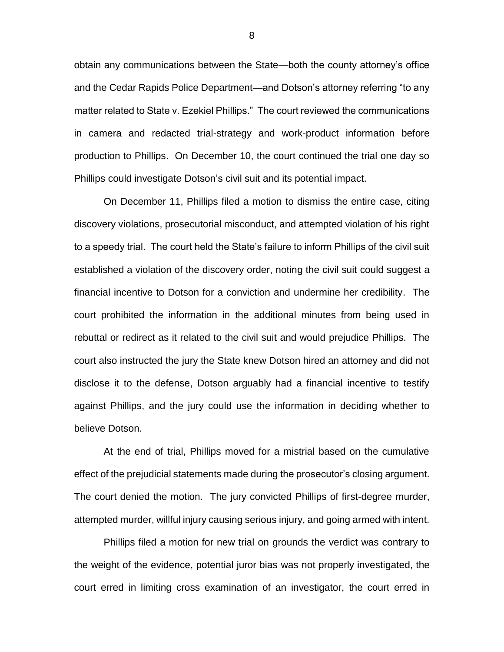obtain any communications between the State—both the county attorney's office and the Cedar Rapids Police Department—and Dotson's attorney referring "to any matter related to State v. Ezekiel Phillips." The court reviewed the communications in camera and redacted trial-strategy and work-product information before production to Phillips. On December 10, the court continued the trial one day so Phillips could investigate Dotson's civil suit and its potential impact.

On December 11, Phillips filed a motion to dismiss the entire case, citing discovery violations, prosecutorial misconduct, and attempted violation of his right to a speedy trial. The court held the State's failure to inform Phillips of the civil suit established a violation of the discovery order, noting the civil suit could suggest a financial incentive to Dotson for a conviction and undermine her credibility. The court prohibited the information in the additional minutes from being used in rebuttal or redirect as it related to the civil suit and would prejudice Phillips. The court also instructed the jury the State knew Dotson hired an attorney and did not disclose it to the defense, Dotson arguably had a financial incentive to testify against Phillips, and the jury could use the information in deciding whether to believe Dotson.

At the end of trial, Phillips moved for a mistrial based on the cumulative effect of the prejudicial statements made during the prosecutor's closing argument. The court denied the motion. The jury convicted Phillips of first-degree murder, attempted murder, willful injury causing serious injury, and going armed with intent.

Phillips filed a motion for new trial on grounds the verdict was contrary to the weight of the evidence, potential juror bias was not properly investigated, the court erred in limiting cross examination of an investigator, the court erred in

8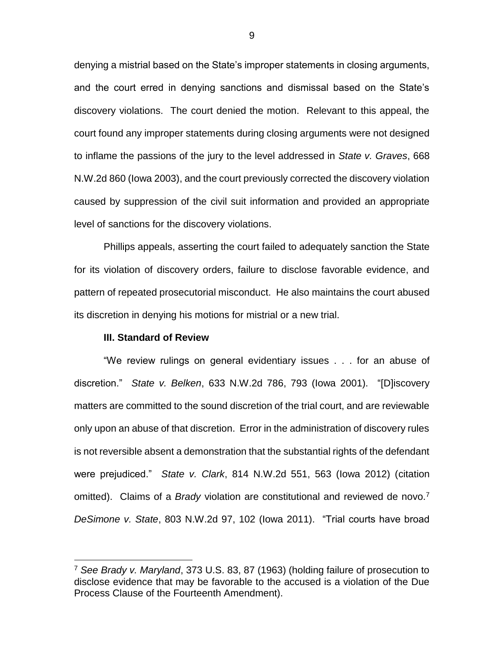denying a mistrial based on the State's improper statements in closing arguments, and the court erred in denying sanctions and dismissal based on the State's discovery violations. The court denied the motion. Relevant to this appeal, the court found any improper statements during closing arguments were not designed to inflame the passions of the jury to the level addressed in *State v. Graves*, 668 N.W.2d 860 (Iowa 2003), and the court previously corrected the discovery violation caused by suppression of the civil suit information and provided an appropriate level of sanctions for the discovery violations.

Phillips appeals, asserting the court failed to adequately sanction the State for its violation of discovery orders, failure to disclose favorable evidence, and pattern of repeated prosecutorial misconduct. He also maintains the court abused its discretion in denying his motions for mistrial or a new trial.

## **III. Standard of Review**

 $\overline{a}$ 

"We review rulings on general evidentiary issues . . . for an abuse of discretion." *State v. Belken*, 633 N.W.2d 786, 793 (Iowa 2001). "[D]iscovery matters are committed to the sound discretion of the trial court, and are reviewable only upon an abuse of that discretion. Error in the administration of discovery rules is not reversible absent a demonstration that the substantial rights of the defendant were prejudiced." *State v. Clark*, 814 N.W.2d 551, 563 (Iowa 2012) (citation omitted). Claims of a *Brady* violation are constitutional and reviewed de novo.<sup>7</sup> *DeSimone v. State*, 803 N.W.2d 97, 102 (Iowa 2011). "Trial courts have broad

<sup>7</sup> *See Brady v. Maryland*, 373 U.S. 83, 87 (1963) (holding failure of prosecution to disclose evidence that may be favorable to the accused is a violation of the Due Process Clause of the Fourteenth Amendment).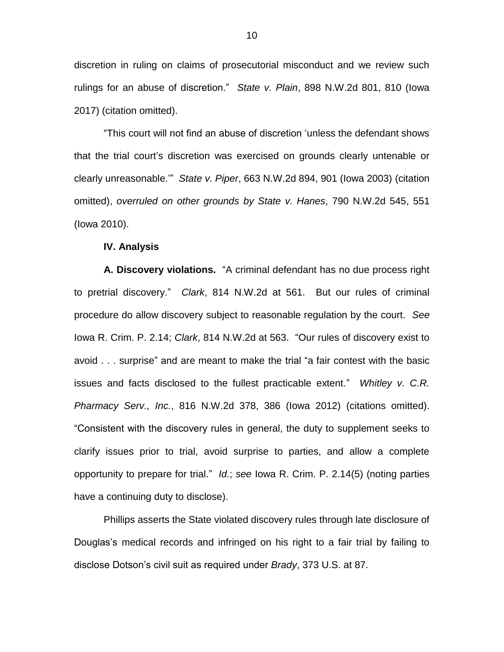discretion in ruling on claims of prosecutorial misconduct and we review such rulings for an abuse of discretion." *State v. Plain*, 898 N.W.2d 801, 810 (Iowa 2017) (citation omitted).

"This court will not find an abuse of discretion 'unless the defendant shows that the trial court's discretion was exercised on grounds clearly untenable or clearly unreasonable.'" *State v. Piper*, 663 N.W.2d 894, 901 (Iowa 2003) (citation omitted), *overruled on other grounds by State v. Hanes*, 790 N.W.2d 545, 551 (Iowa 2010).

## **IV. Analysis**

**A. Discovery violations.** "A criminal defendant has no due process right to pretrial discovery." *Clark*, 814 N.W.2d at 561. But our rules of criminal procedure do allow discovery subject to reasonable regulation by the court. *See*  Iowa R. Crim. P. 2.14; *Clark*, 814 N.W.2d at 563. "Our rules of discovery exist to avoid . . . surprise" and are meant to make the trial "a fair contest with the basic issues and facts disclosed to the fullest practicable extent." *Whitley v. C.R. Pharmacy Serv., Inc.*, 816 N.W.2d 378, 386 (Iowa 2012) (citations omitted). "Consistent with the discovery rules in general, the duty to supplement seeks to clarify issues prior to trial, avoid surprise to parties, and allow a complete opportunity to prepare for trial." *Id.*; *see* Iowa R. Crim. P. 2.14(5) (noting parties have a continuing duty to disclose).

Phillips asserts the State violated discovery rules through late disclosure of Douglas's medical records and infringed on his right to a fair trial by failing to disclose Dotson's civil suit as required under *Brady*, 373 U.S. at 87.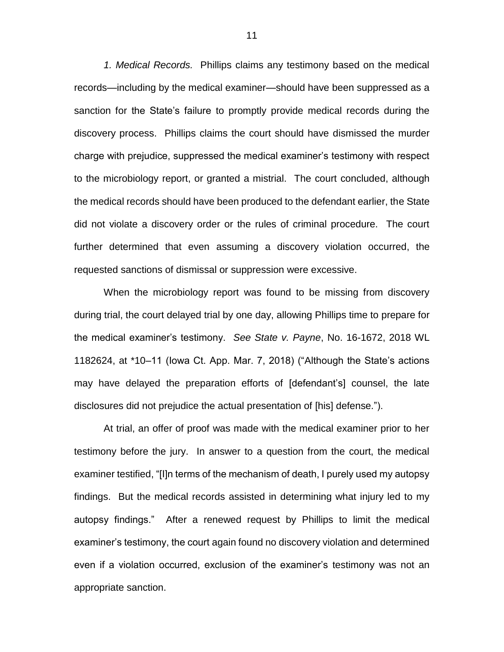*1. Medical Records.* Phillips claims any testimony based on the medical records—including by the medical examiner—should have been suppressed as a sanction for the State's failure to promptly provide medical records during the discovery process. Phillips claims the court should have dismissed the murder charge with prejudice, suppressed the medical examiner's testimony with respect to the microbiology report, or granted a mistrial. The court concluded, although the medical records should have been produced to the defendant earlier, the State did not violate a discovery order or the rules of criminal procedure. The court further determined that even assuming a discovery violation occurred, the requested sanctions of dismissal or suppression were excessive.

When the microbiology report was found to be missing from discovery during trial, the court delayed trial by one day, allowing Phillips time to prepare for the medical examiner's testimony. *See State v. Payne*, No. 16-1672, 2018 WL 1182624, at \*10–11 (Iowa Ct. App. Mar. 7, 2018) ("Although the State's actions may have delayed the preparation efforts of [defendant's] counsel, the late disclosures did not prejudice the actual presentation of [his] defense.").

At trial, an offer of proof was made with the medical examiner prior to her testimony before the jury. In answer to a question from the court, the medical examiner testified, "[I]n terms of the mechanism of death, I purely used my autopsy findings. But the medical records assisted in determining what injury led to my autopsy findings." After a renewed request by Phillips to limit the medical examiner's testimony, the court again found no discovery violation and determined even if a violation occurred, exclusion of the examiner's testimony was not an appropriate sanction.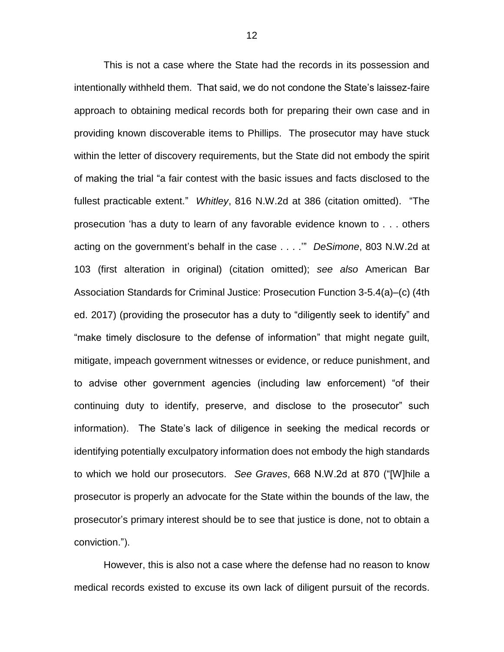This is not a case where the State had the records in its possession and intentionally withheld them. That said, we do not condone the State's laissez-faire approach to obtaining medical records both for preparing their own case and in providing known discoverable items to Phillips. The prosecutor may have stuck within the letter of discovery requirements, but the State did not embody the spirit of making the trial "a fair contest with the basic issues and facts disclosed to the fullest practicable extent." *Whitley*, 816 N.W.2d at 386 (citation omitted). "The prosecution 'has a duty to learn of any favorable evidence known to . . . others acting on the government's behalf in the case . . . .'" *DeSimone*, 803 N.W.2d at 103 (first alteration in original) (citation omitted); *see also* American Bar Association Standards for Criminal Justice: Prosecution Function 3-5.4(a)–(c) (4th ed. 2017) (providing the prosecutor has a duty to "diligently seek to identify" and "make timely disclosure to the defense of information" that might negate guilt, mitigate, impeach government witnesses or evidence, or reduce punishment, and to advise other government agencies (including law enforcement) "of their continuing duty to identify, preserve, and disclose to the prosecutor" such information). The State's lack of diligence in seeking the medical records or identifying potentially exculpatory information does not embody the high standards to which we hold our prosecutors. *See Graves*, 668 N.W.2d at 870 ("[W]hile a prosecutor is properly an advocate for the State within the bounds of the law, the prosecutor's primary interest should be to see that justice is done, not to obtain a conviction.").

However, this is also not a case where the defense had no reason to know medical records existed to excuse its own lack of diligent pursuit of the records.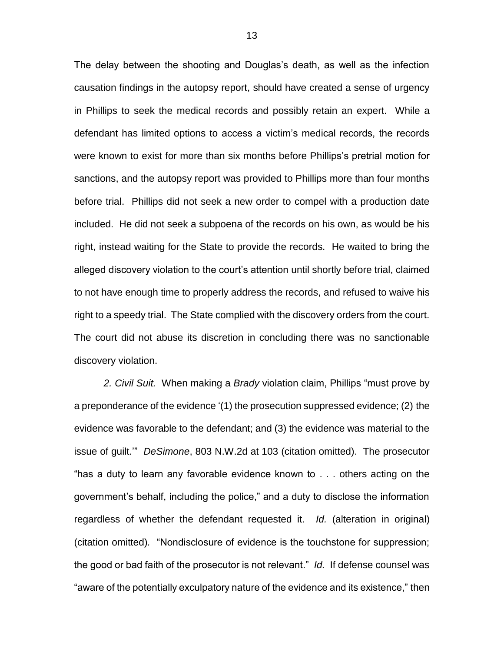The delay between the shooting and Douglas's death, as well as the infection causation findings in the autopsy report, should have created a sense of urgency in Phillips to seek the medical records and possibly retain an expert. While a defendant has limited options to access a victim's medical records, the records were known to exist for more than six months before Phillips's pretrial motion for sanctions, and the autopsy report was provided to Phillips more than four months before trial. Phillips did not seek a new order to compel with a production date included. He did not seek a subpoena of the records on his own, as would be his right, instead waiting for the State to provide the records. He waited to bring the alleged discovery violation to the court's attention until shortly before trial, claimed to not have enough time to properly address the records, and refused to waive his right to a speedy trial. The State complied with the discovery orders from the court. The court did not abuse its discretion in concluding there was no sanctionable discovery violation.

*2. Civil Suit.* When making a *Brady* violation claim, Phillips "must prove by a preponderance of the evidence '(1) the prosecution suppressed evidence; (2) the evidence was favorable to the defendant; and (3) the evidence was material to the issue of guilt.'" *DeSimone*, 803 N.W.2d at 103 (citation omitted). The prosecutor "has a duty to learn any favorable evidence known to . . . others acting on the government's behalf, including the police," and a duty to disclose the information regardless of whether the defendant requested it. *Id.* (alteration in original) (citation omitted)*.* "Nondisclosure of evidence is the touchstone for suppression; the good or bad faith of the prosecutor is not relevant." *Id.* If defense counsel was "aware of the potentially exculpatory nature of the evidence and its existence," then

13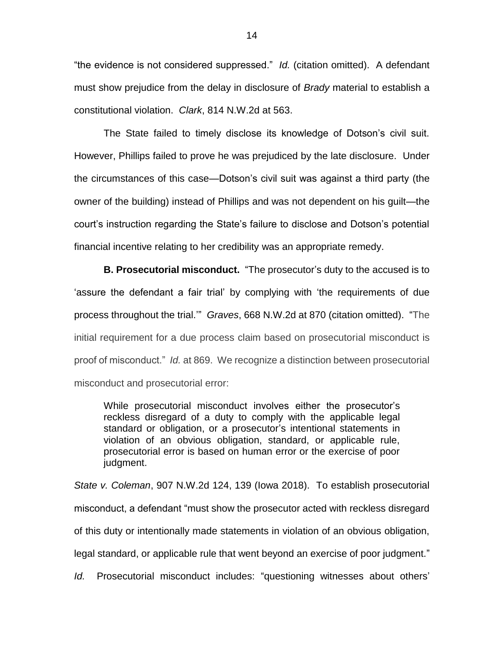"the evidence is not considered suppressed." *Id.* (citation omitted).A defendant must show prejudice from the delay in disclosure of *Brady* material to establish a constitutional violation. *Clark*, 814 N.W.2d at 563.

The State failed to timely disclose its knowledge of Dotson's civil suit. However, Phillips failed to prove he was prejudiced by the late disclosure. Under the circumstances of this case—Dotson's civil suit was against a third party (the owner of the building) instead of Phillips and was not dependent on his guilt—the court's instruction regarding the State's failure to disclose and Dotson's potential financial incentive relating to her credibility was an appropriate remedy.

**B. Prosecutorial misconduct.** "The prosecutor's duty to the accused is to 'assure the defendant a fair trial' by complying with 'the requirements of due process throughout the trial.'" *Graves*, 668 N.W.2d at 870 (citation omitted). "The initial requirement for a due process claim based on prosecutorial misconduct is proof of misconduct." *Id.* at 869. We recognize a distinction between prosecutorial misconduct and prosecutorial error:

While prosecutorial misconduct involves either the prosecutor's reckless disregard of a duty to comply with the applicable legal standard or obligation, or a prosecutor's intentional statements in violation of an obvious obligation, standard, or applicable rule, prosecutorial error is based on human error or the exercise of poor judgment.

*State v. Coleman*, 907 N.W.2d 124, 139 (Iowa 2018). To establish prosecutorial misconduct, a defendant "must show the prosecutor acted with reckless disregard of this duty or intentionally made statements in violation of an obvious obligation, legal standard, or applicable rule that went beyond an exercise of poor judgment." *Id.* Prosecutorial misconduct includes: "questioning witnesses about others'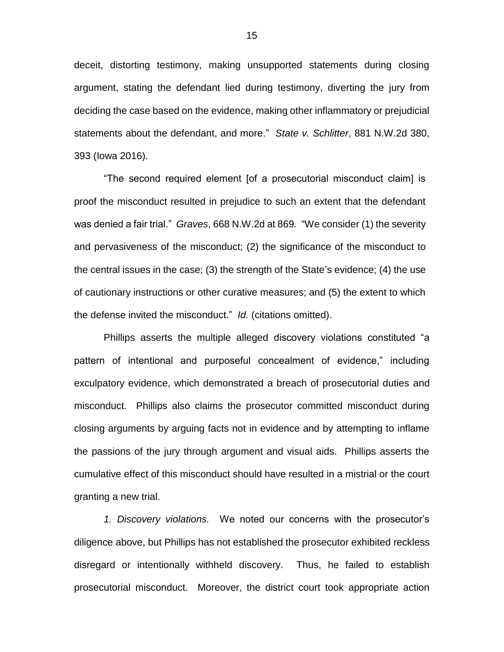deceit, distorting testimony, making unsupported statements during closing argument, stating the defendant lied during testimony, diverting the jury from deciding the case based on the evidence, making other inflammatory or prejudicial statements about the defendant, and more." *State v. Schlitter*, 881 N.W.2d 380, 393 (Iowa 2016).

"The second required element [of a prosecutorial misconduct claim] is proof the misconduct resulted in prejudice to such an extent that the defendant was denied a fair trial." *Graves*, 668 N.W.2d at 869*.* "We consider (1) the severity and pervasiveness of the misconduct; (2) the significance of the misconduct to the central issues in the case; (3) the strength of the State's evidence; (4) the use of cautionary instructions or other curative measures; and (5) the extent to which the defense invited the misconduct." *Id.* (citations omitted).

Phillips asserts the multiple alleged discovery violations constituted "a pattern of intentional and purposeful concealment of evidence," including exculpatory evidence, which demonstrated a breach of prosecutorial duties and misconduct. Phillips also claims the prosecutor committed misconduct during closing arguments by arguing facts not in evidence and by attempting to inflame the passions of the jury through argument and visual aids. Phillips asserts the cumulative effect of this misconduct should have resulted in a mistrial or the court granting a new trial.

*1. Discovery violations.* We noted our concerns with the prosecutor's diligence above, but Phillips has not established the prosecutor exhibited reckless disregard or intentionally withheld discovery. Thus, he failed to establish prosecutorial misconduct. Moreover, the district court took appropriate action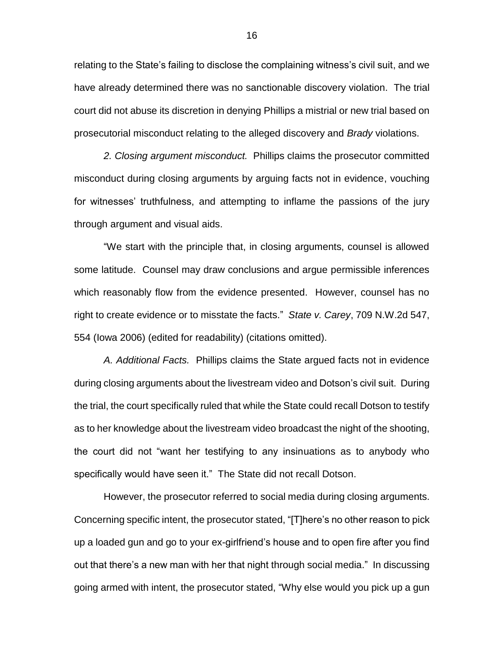relating to the State's failing to disclose the complaining witness's civil suit, and we have already determined there was no sanctionable discovery violation. The trial court did not abuse its discretion in denying Phillips a mistrial or new trial based on prosecutorial misconduct relating to the alleged discovery and *Brady* violations.

*2. Closing argument misconduct.* Phillips claims the prosecutor committed misconduct during closing arguments by arguing facts not in evidence, vouching for witnesses' truthfulness, and attempting to inflame the passions of the jury through argument and visual aids.

"We start with the principle that, in closing arguments, counsel is allowed some latitude. Counsel may draw conclusions and argue permissible inferences which reasonably flow from the evidence presented. However, counsel has no right to create evidence or to misstate the facts." *State v. Carey*, 709 N.W.2d 547, 554 (Iowa 2006) (edited for readability) (citations omitted).

*A. Additional Facts.* Phillips claims the State argued facts not in evidence during closing arguments about the livestream video and Dotson's civil suit. During the trial, the court specifically ruled that while the State could recall Dotson to testify as to her knowledge about the livestream video broadcast the night of the shooting, the court did not "want her testifying to any insinuations as to anybody who specifically would have seen it." The State did not recall Dotson.

However, the prosecutor referred to social media during closing arguments. Concerning specific intent, the prosecutor stated, "[T]here's no other reason to pick up a loaded gun and go to your ex-girlfriend's house and to open fire after you find out that there's a new man with her that night through social media." In discussing going armed with intent, the prosecutor stated, "Why else would you pick up a gun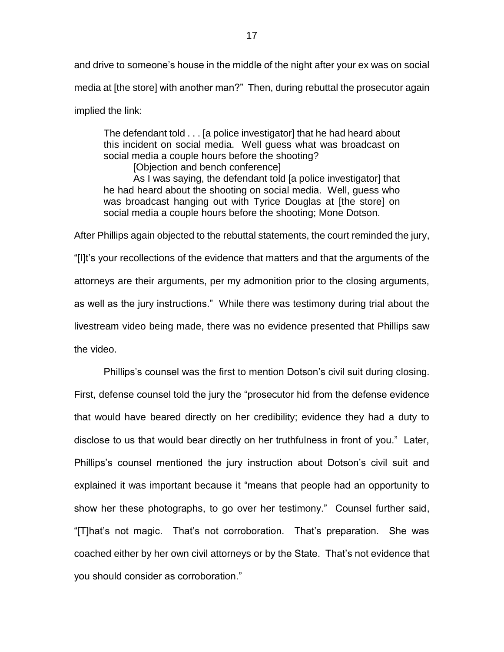and drive to someone's house in the middle of the night after your ex was on social media at [the store] with another man?" Then, during rebuttal the prosecutor again implied the link:

The defendant told . . . [a police investigator] that he had heard about this incident on social media. Well guess what was broadcast on social media a couple hours before the shooting?

[Objection and bench conference] As I was saying, the defendant told [a police investigator] that he had heard about the shooting on social media. Well, guess who was broadcast hanging out with Tyrice Douglas at [the store] on social media a couple hours before the shooting; Mone Dotson.

After Phillips again objected to the rebuttal statements, the court reminded the jury, "[I]t's your recollections of the evidence that matters and that the arguments of the attorneys are their arguments, per my admonition prior to the closing arguments, as well as the jury instructions." While there was testimony during trial about the livestream video being made, there was no evidence presented that Phillips saw the video.

Phillips's counsel was the first to mention Dotson's civil suit during closing. First, defense counsel told the jury the "prosecutor hid from the defense evidence that would have beared directly on her credibility; evidence they had a duty to disclose to us that would bear directly on her truthfulness in front of you." Later, Phillips's counsel mentioned the jury instruction about Dotson's civil suit and explained it was important because it "means that people had an opportunity to show her these photographs, to go over her testimony." Counsel further said, "[T]hat's not magic. That's not corroboration. That's preparation. She was coached either by her own civil attorneys or by the State. That's not evidence that you should consider as corroboration."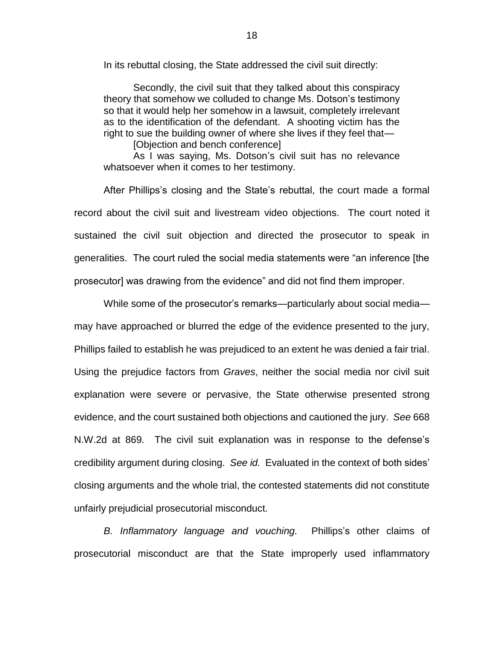In its rebuttal closing, the State addressed the civil suit directly:

Secondly, the civil suit that they talked about this conspiracy theory that somehow we colluded to change Ms. Dotson's testimony so that it would help her somehow in a lawsuit, completely irrelevant as to the identification of the defendant. A shooting victim has the right to sue the building owner of where she lives if they feel that—

[Objection and bench conference]

As I was saying, Ms. Dotson's civil suit has no relevance whatsoever when it comes to her testimony.

After Phillips's closing and the State's rebuttal, the court made a formal record about the civil suit and livestream video objections. The court noted it sustained the civil suit objection and directed the prosecutor to speak in generalities. The court ruled the social media statements were "an inference [the prosecutor] was drawing from the evidence" and did not find them improper.

While some of the prosecutor's remarks—particularly about social media may have approached or blurred the edge of the evidence presented to the jury, Phillips failed to establish he was prejudiced to an extent he was denied a fair trial. Using the prejudice factors from *Graves*, neither the social media nor civil suit explanation were severe or pervasive, the State otherwise presented strong evidence, and the court sustained both objections and cautioned the jury. *See* 668 N.W.2d at 869*.* The civil suit explanation was in response to the defense's credibility argument during closing. *See id.* Evaluated in the context of both sides' closing arguments and the whole trial, the contested statements did not constitute unfairly prejudicial prosecutorial misconduct.

*B. Inflammatory language and vouching.* Phillips's other claims of prosecutorial misconduct are that the State improperly used inflammatory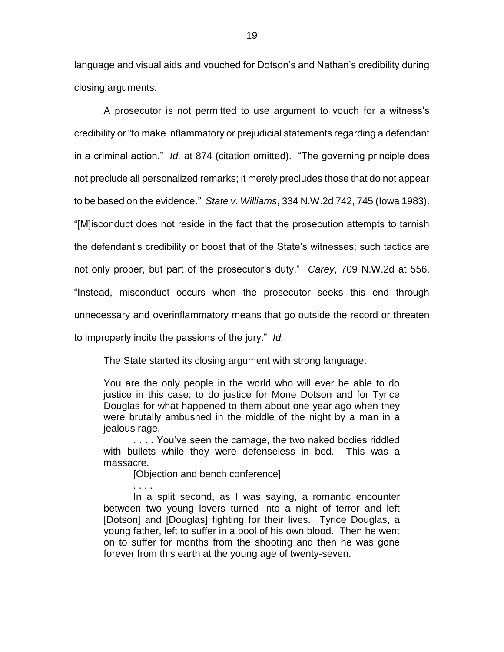language and visual aids and vouched for Dotson's and Nathan's credibility during closing arguments.

A prosecutor is not permitted to use argument to vouch for a witness's credibility or "to make inflammatory or prejudicial statements regarding a defendant in a criminal action." *Id.* at 874 (citation omitted). "The governing principle does not preclude all personalized remarks; it merely precludes those that do not appear to be based on the evidence." *State v. Williams*, 334 N.W.2d 742, 745 (Iowa 1983). "[M]isconduct does not reside in the fact that the prosecution attempts to tarnish the defendant's credibility or boost that of the State's witnesses; such tactics are not only proper, but part of the prosecutor's duty." *Carey*, 709 N.W.2d at 556. "Instead, misconduct occurs when the prosecutor seeks this end through unnecessary and overinflammatory means that go outside the record or threaten to improperly incite the passions of the jury." *Id.*

The State started its closing argument with strong language:

You are the only people in the world who will ever be able to do justice in this case; to do justice for Mone Dotson and for Tyrice Douglas for what happened to them about one year ago when they were brutally ambushed in the middle of the night by a man in a jealous rage.

. . . . You've seen the carnage, the two naked bodies riddled with bullets while they were defenseless in bed. This was a massacre.

[Objection and bench conference]

. . . .

In a split second, as I was saying, a romantic encounter between two young lovers turned into a night of terror and left [Dotson] and [Douglas] fighting for their lives. Tyrice Douglas, a young father, left to suffer in a pool of his own blood. Then he went on to suffer for months from the shooting and then he was gone forever from this earth at the young age of twenty-seven.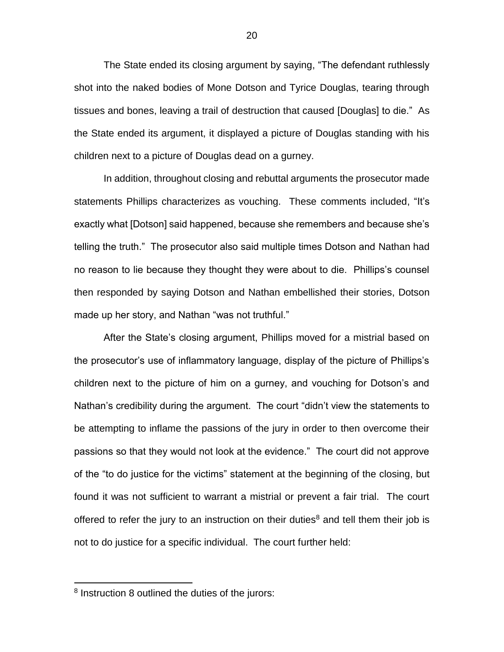The State ended its closing argument by saying, "The defendant ruthlessly shot into the naked bodies of Mone Dotson and Tyrice Douglas, tearing through tissues and bones, leaving a trail of destruction that caused [Douglas] to die." As the State ended its argument, it displayed a picture of Douglas standing with his children next to a picture of Douglas dead on a gurney.

In addition, throughout closing and rebuttal arguments the prosecutor made statements Phillips characterizes as vouching. These comments included, "It's exactly what [Dotson] said happened, because she remembers and because she's telling the truth." The prosecutor also said multiple times Dotson and Nathan had no reason to lie because they thought they were about to die. Phillips's counsel then responded by saying Dotson and Nathan embellished their stories, Dotson made up her story, and Nathan "was not truthful."

After the State's closing argument, Phillips moved for a mistrial based on the prosecutor's use of inflammatory language, display of the picture of Phillips's children next to the picture of him on a gurney, and vouching for Dotson's and Nathan's credibility during the argument. The court "didn't view the statements to be attempting to inflame the passions of the jury in order to then overcome their passions so that they would not look at the evidence." The court did not approve of the "to do justice for the victims" statement at the beginning of the closing, but found it was not sufficient to warrant a mistrial or prevent a fair trial. The court offered to refer the jury to an instruction on their duties<sup>8</sup> and tell them their job is not to do justice for a specific individual. The court further held:

 $\overline{a}$ 

<sup>&</sup>lt;sup>8</sup> Instruction 8 outlined the duties of the jurors: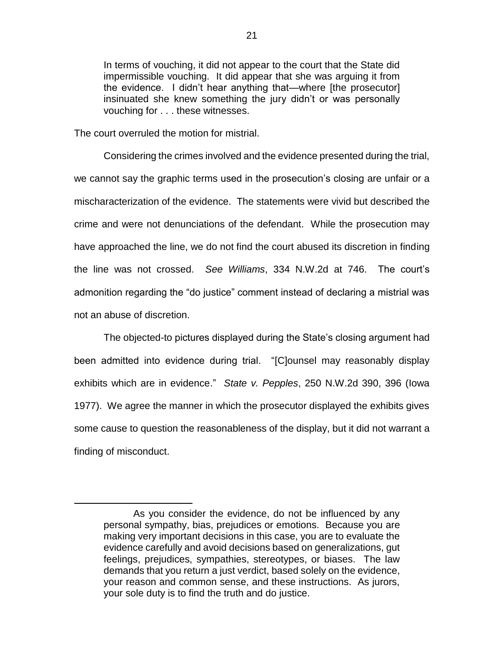In terms of vouching, it did not appear to the court that the State did impermissible vouching. It did appear that she was arguing it from the evidence. I didn't hear anything that—where [the prosecutor] insinuated she knew something the jury didn't or was personally vouching for . . . these witnesses.

The court overruled the motion for mistrial.

 $\overline{a}$ 

Considering the crimes involved and the evidence presented during the trial, we cannot say the graphic terms used in the prosecution's closing are unfair or a mischaracterization of the evidence. The statements were vivid but described the crime and were not denunciations of the defendant. While the prosecution may have approached the line, we do not find the court abused its discretion in finding the line was not crossed. *See Williams*, 334 N.W.2d at 746. The court's admonition regarding the "do justice" comment instead of declaring a mistrial was not an abuse of discretion.

The objected-to pictures displayed during the State's closing argument had been admitted into evidence during trial. "[C]ounsel may reasonably display exhibits which are in evidence." *State v. Pepples*, 250 N.W.2d 390, 396 (Iowa 1977). We agree the manner in which the prosecutor displayed the exhibits gives some cause to question the reasonableness of the display, but it did not warrant a finding of misconduct.

As you consider the evidence, do not be influenced by any personal sympathy, bias, prejudices or emotions. Because you are making very important decisions in this case, you are to evaluate the evidence carefully and avoid decisions based on generalizations, gut feelings, prejudices, sympathies, stereotypes, or biases. The law demands that you return a just verdict, based solely on the evidence, your reason and common sense, and these instructions. As jurors, your sole duty is to find the truth and do justice.